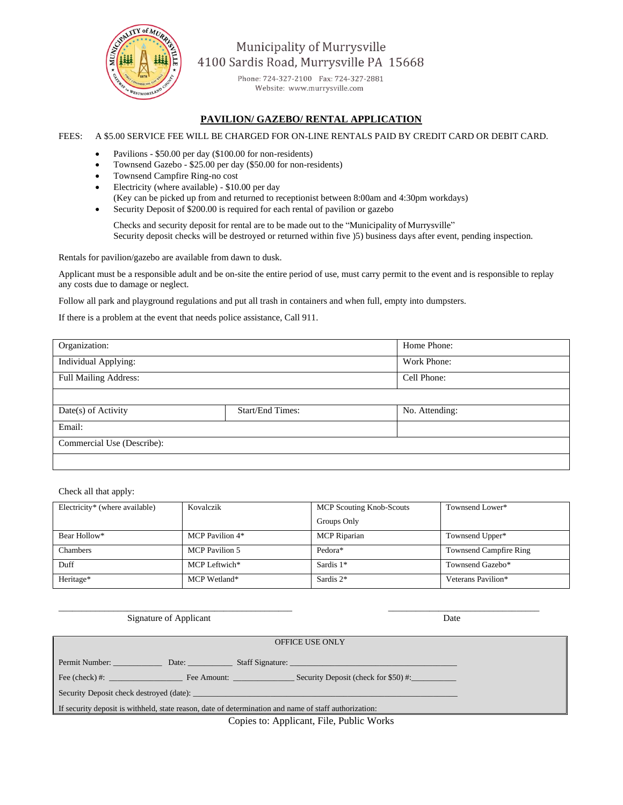

Municipality of Murrysville 4100 Sardis Road, Murrysville PA 15668

> Phone: 724-327-2100 Fax: 724-327-2881 Website: www.murrysville.com

## **PAVILION/ GAZEBO/ RENTAL APPLICATION**

## FEES: A \$5.00 SERVICE FEE WILL BE CHARGED FOR ON-LINE RENTALS PAID BY CREDIT CARD OR DEBIT CARD.

- Pavilions \$50.00 per day (\$100.00 for non-residents)
- Townsend Gazebo \$25.00 per day (\$50.00 for non-residents)
- Townsend Campfire Ring-no cost
- Electricity (where available) \$10.00 per day
- (Key can be picked up from and returned to receptionist between 8:00am and 4:30pm workdays)
- Security Deposit of \$200.00 is required for each rental of pavilion or gazebo

Checks and security deposit for rental are to be made out to the "Municipality of Murrysville" Security deposit checks will be destroyed or returned within five )5) business days after event, pending inspection.

Rentals for pavilion/gazebo are available from dawn to dusk.

Applicant must be a responsible adult and be on-site the entire period of use, must carry permit to the event and is responsible to replay any costs due to damage or neglect.

Follow all park and playground regulations and put all trash in containers and when full, empty into dumpsters.

If there is a problem at the event that needs police assistance, Call 911.

| Organization:                |                         | Home Phone:    |  |  |
|------------------------------|-------------------------|----------------|--|--|
| Individual Applying:         |                         | Work Phone:    |  |  |
| <b>Full Mailing Address:</b> |                         | Cell Phone:    |  |  |
|                              |                         |                |  |  |
| Date(s) of Activity          | <b>Start/End Times:</b> | No. Attending: |  |  |
| Email:                       |                         |                |  |  |
| Commercial Use (Describe):   |                         |                |  |  |
|                              |                         |                |  |  |

Check all that apply:

| Electricity* (where available) | Kovalczik             | MCP Scouting Knob-Scouts | Townsend Lower*               |
|--------------------------------|-----------------------|--------------------------|-------------------------------|
|                                |                       | Groups Only              |                               |
| Bear Hollow*                   | MCP Pavilion 4*       | <b>MCP</b> Riparian      | Townsend Upper*               |
| Chambers                       | <b>MCP</b> Pavilion 5 | Pedora*                  | <b>Townsend Campfire Ring</b> |
| Duff                           | MCP Leftwich*         | Sardis 1*                | Townsend Gazebo*              |
| Heritage*                      | MCP Wetland*          | Sardis 2*                | Veterans Pavilion*            |

| Signature of Applicant                                                                                |  | Date |  |  |
|-------------------------------------------------------------------------------------------------------|--|------|--|--|
| <b>OFFICE USE ONLY</b>                                                                                |  |      |  |  |
| Permit Number:                                                                                        |  |      |  |  |
| Fee (check) #: Fee Amount: Security Deposit (check for \$50) #:                                       |  |      |  |  |
|                                                                                                       |  |      |  |  |
| If security deposit is withheld, state reason, date of determination and name of staff authorization: |  |      |  |  |
| Conjes to: Applicant File Public Works                                                                |  |      |  |  |

Copies to: Applicant, File, Public Works